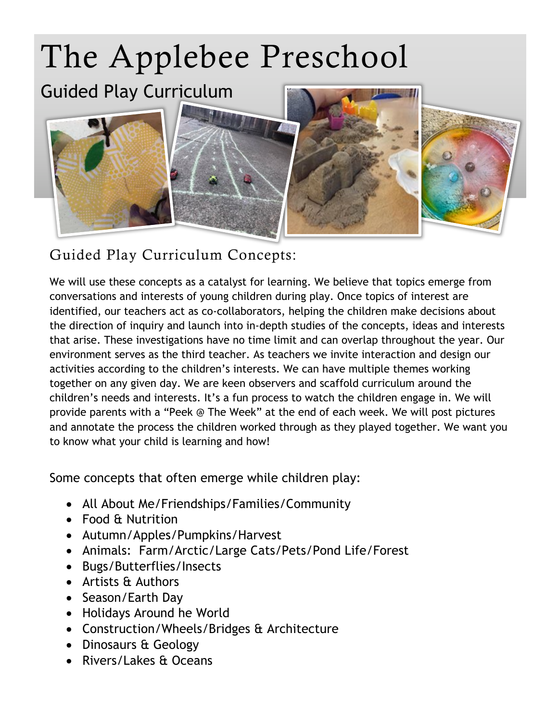

## Guided Play Curriculum Concepts:

We will use these concepts as a catalyst for learning. We believe that topics emerge from conversations and interests of young children during play. Once topics of interest are identified, our teachers act as co-collaborators, helping the children make decisions about the direction of inquiry and launch into in-depth studies of the concepts, ideas and interests that arise. These investigations have no time limit and can overlap throughout the year. Our environment serves as the third teacher. As teachers we invite interaction and design our activities according to the children's interests. We can have multiple themes working together on any given day. We are keen observers and scaffold curriculum around the children's needs and interests. It's a fun process to watch the children engage in. We will provide parents with a "Peek @ The Week" at the end of each week. We will post pictures and annotate the process the children worked through as they played together. We want you to know what your child is learning and how!

Some concepts that often emerge while children play:

- All About Me/Friendships/Families/Community
- Food & Nutrition
- Autumn/Apples/Pumpkins/Harvest
- Animals: Farm/Arctic/Large Cats/Pets/Pond Life/Forest
- Bugs/Butterflies/Insects
- Artists & Authors
- Season/Earth Day
- Holidays Around he World
- Construction/Wheels/Bridges & Architecture
- Dinosaurs & Geology
- Rivers/Lakes & Oceans